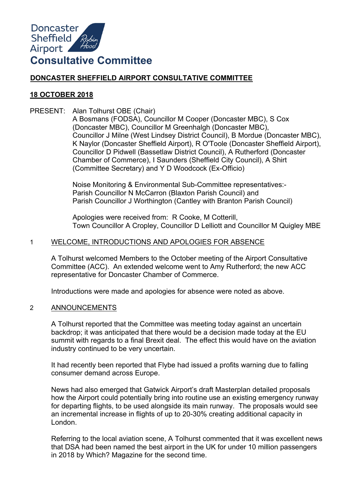

# **DONCASTER SHEFFIELD AIRPORT CONSULTATIVE COMMITTEE**

# **18 OCTOBER 2018**

PRESENT: Alan Tolhurst OBE (Chair)

A Bosmans (FODSA), Councillor M Cooper (Doncaster MBC), S Cox (Doncaster MBC), Councillor M Greenhalgh (Doncaster MBC), Councillor J Milne (West Lindsey District Council), B Mordue (Doncaster MBC), K Naylor (Doncaster Sheffield Airport), R O'Toole (Doncaster Sheffield Airport), Councillor D Pidwell (Bassetlaw District Council), A Rutherford (Doncaster Chamber of Commerce), I Saunders (Sheffield City Council), A Shirt (Committee Secretary) and Y D Woodcock (Ex-Officio)

Noise Monitoring & Environmental Sub-Committee representatives:- Parish Councillor N McCarron (Blaxton Parish Council) and Parish Councillor J Worthington (Cantley with Branton Parish Council)

Apologies were received from: R Cooke, M Cotterill, Town Councillor A Cropley, Councillor D Lelliott and Councillor M Quigley MBE

# 1 WELCOME, INTRODUCTIONS AND APOLOGIES FOR ABSENCE

A Tolhurst welcomed Members to the October meeting of the Airport Consultative Committee (ACC). An extended welcome went to Amy Rutherford; the new ACC representative for Doncaster Chamber of Commerce.

Introductions were made and apologies for absence were noted as above.

# 2 ANNOUNCEMENTS

A Tolhurst reported that the Committee was meeting today against an uncertain backdrop; it was anticipated that there would be a decision made today at the EU summit with regards to a final Brexit deal. The effect this would have on the aviation industry continued to be very uncertain.

It had recently been reported that Flybe had issued a profits warning due to falling consumer demand across Europe.

News had also emerged that Gatwick Airport's draft Masterplan detailed proposals how the Airport could potentially bring into routine use an existing emergency runway for departing flights, to be used alongside its main runway. The proposals would see an incremental increase in flights of up to 20-30% creating additional capacity in London.

Referring to the local aviation scene, A Tolhurst commented that it was excellent news that DSA had been named the best airport in the UK for under 10 million passengers in 2018 by Which? Magazine for the second time.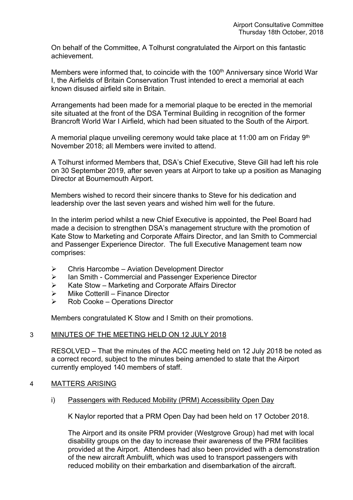On behalf of the Committee, A Tolhurst congratulated the Airport on this fantastic achievement.

Members were informed that, to coincide with the 100<sup>th</sup> Anniversary since World War I, the Airfields of Britain Conservation Trust intended to erect a memorial at each known disused airfield site in Britain.

Arrangements had been made for a memorial plaque to be erected in the memorial site situated at the front of the DSA Terminal Building in recognition of the former Brancroft World War I Airfield, which had been situated to the South of the Airport.

A memorial plaque unveiling ceremony would take place at 11:00 am on Friday 9<sup>th</sup> November 2018; all Members were invited to attend.

A Tolhurst informed Members that, DSA's Chief Executive, Steve Gill had left his role on 30 September 2019, after seven years at Airport to take up a position as Managing Director at Bournemouth Airport.

Members wished to record their sincere thanks to Steve for his dedication and leadership over the last seven years and wished him well for the future.

In the interim period whilst a new Chief Executive is appointed, the Peel Board had made a decision to strengthen DSA's management structure with the promotion of Kate Stow to Marketing and Corporate Affairs Director, and Ian Smith to Commercial and Passenger Experience Director. The full Executive Management team now comprises:

- $\triangleright$  Chris Harcombe Aviation Development Director
- ▶ Ian Smith Commercial and Passenger Experience Director
- $\triangleright$  Kate Stow Marketing and Corporate Affairs Director
- $\triangleright$  Mike Cotterill Finance Director
- $\triangleright$  Rob Cooke Operations Director

Members congratulated K Stow and I Smith on their promotions.

# 3 MINUTES OF THE MEETING HELD ON 12 JULY 2018

RESOLVED – That the minutes of the ACC meeting held on 12 July 2018 be noted as a correct record, subject to the minutes being amended to state that the Airport currently employed 140 members of staff.

# 4 MATTERS ARISING

i) Passengers with Reduced Mobility (PRM) Accessibility Open Day

K Naylor reported that a PRM Open Day had been held on 17 October 2018.

The Airport and its onsite PRM provider (Westgrove Group) had met with local disability groups on the day to increase their awareness of the PRM facilities provided at the Airport. Attendees had also been provided with a demonstration of the new aircraft Ambulift, which was used to transport passengers with reduced mobility on their embarkation and disembarkation of the aircraft.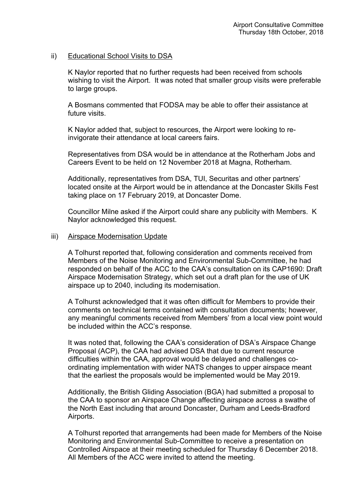# ii) Educational School Visits to DSA

K Naylor reported that no further requests had been received from schools wishing to visit the Airport. It was noted that smaller group visits were preferable to large groups.

A Bosmans commented that FODSA may be able to offer their assistance at future visits.

K Naylor added that, subject to resources, the Airport were looking to reinvigorate their attendance at local careers fairs.

Representatives from DSA would be in attendance at the Rotherham Jobs and Careers Event to be held on 12 November 2018 at Magna, Rotherham.

Additionally, representatives from DSA, TUI, Securitas and other partners' located onsite at the Airport would be in attendance at the Doncaster Skills Fest taking place on 17 February 2019, at Doncaster Dome.

Councillor Milne asked if the Airport could share any publicity with Members. K Naylor acknowledged this request.

#### iii) Airspace Modernisation Update

A Tolhurst reported that, following consideration and comments received from Members of the Noise Monitoring and Environmental Sub-Committee, he had responded on behalf of the ACC to the CAA's consultation on its CAP1690: Draft Airspace Modernisation Strategy, which set out a draft plan for the use of UK airspace up to 2040, including its modernisation.

A Tolhurst acknowledged that it was often difficult for Members to provide their comments on technical terms contained with consultation documents; however, any meaningful comments received from Members' from a local view point would be included within the ACC's response.

It was noted that, following the CAA's consideration of DSA's Airspace Change Proposal (ACP), the CAA had advised DSA that due to current resource difficulties within the CAA, approval would be delayed and challenges coordinating implementation with wider NATS changes to upper airspace meant that the earliest the proposals would be implemented would be May 2019.

Additionally, the British Gliding Association (BGA) had submitted a proposal to the CAA to sponsor an Airspace Change affecting airspace across a swathe of the North East including that around Doncaster, Durham and Leeds-Bradford Airports.

A Tolhurst reported that arrangements had been made for Members of the Noise Monitoring and Environmental Sub-Committee to receive a presentation on Controlled Airspace at their meeting scheduled for Thursday 6 December 2018. All Members of the ACC were invited to attend the meeting.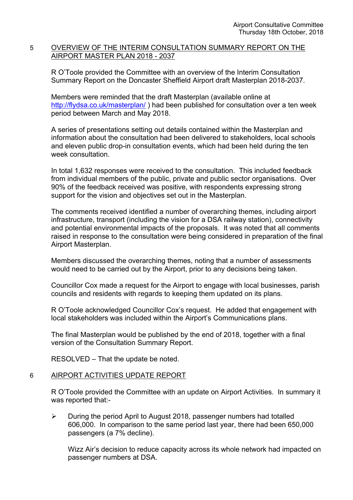# 5 OVERVIEW OF THE INTERIM CONSULTATION SUMMARY REPORT ON THE AIRPORT MASTER PLAN 2018 - 2037

R O'Toole provided the Committee with an overview of the Interim Consultation Summary Report on the Doncaster Sheffield Airport draft Masterplan 2018-2037.

Members were reminded that the draft Masterplan (available online at <http://flydsa.co.uk/masterplan/>) had been published for consultation over a ten week period between March and May 2018.

A series of presentations setting out details contained within the Masterplan and information about the consultation had been delivered to stakeholders, local schools and eleven public drop-in consultation events, which had been held during the ten week consultation

In total 1,632 responses were received to the consultation. This included feedback from individual members of the public, private and public sector organisations. Over 90% of the feedback received was positive, with respondents expressing strong support for the vision and objectives set out in the Masterplan.

The comments received identified a number of overarching themes, including airport infrastructure, transport (including the vision for a DSA railway station), connectivity and potential environmental impacts of the proposals. It was noted that all comments raised in response to the consultation were being considered in preparation of the final Airport Masterplan.

Members discussed the overarching themes, noting that a number of assessments would need to be carried out by the Airport, prior to any decisions being taken.

Councillor Cox made a request for the Airport to engage with local businesses, parish councils and residents with regards to keeping them updated on its plans.

R O'Toole acknowledged Councillor Cox's request. He added that engagement with local stakeholders was included within the Airport's Communications plans.

The final Masterplan would be published by the end of 2018, together with a final version of the Consultation Summary Report.

RESOLVED – That the update be noted.

# 6 AIRPORT ACTIVITIES UPDATE REPORT

R O'Toole provided the Committee with an update on Airport Activities. In summary it was reported that:-

 $\triangleright$  During the period April to August 2018, passenger numbers had totalled 606,000. In comparison to the same period last year, there had been 650,000 passengers (a 7% decline).

Wizz Air's decision to reduce capacity across its whole network had impacted on passenger numbers at DSA.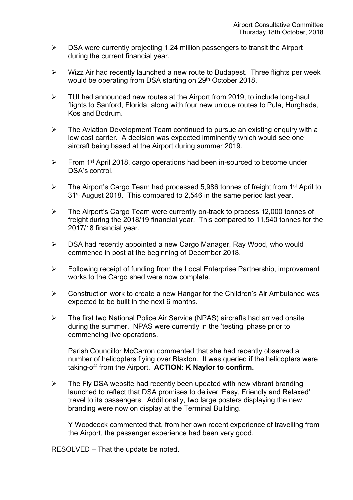- $\triangleright$  DSA were currently projecting 1.24 million passengers to transit the Airport during the current financial year.
- $\triangleright$  Wizz Air had recently launched a new route to Budapest. Three flights per week would be operating from DSA starting on 29<sup>th</sup> October 2018.
- $\triangleright$  TUI had announced new routes at the Airport from 2019, to include long-haul flights to Sanford, Florida, along with four new unique routes to Pula, Hurghada, Kos and Bodrum.
- $\triangleright$  The Aviation Development Team continued to pursue an existing enguiry with a low cost carrier. A decision was expected imminently which would see one aircraft being based at the Airport during summer 2019.
- From 1<sup>st</sup> April 2018, cargo operations had been in-sourced to become under DSA's control.
- > The Airport's Cargo Team had processed 5,986 tonnes of freight from 1<sup>st</sup> April to 31<sup>st</sup> August 2018. This compared to 2,546 in the same period last year.
- The Airport's Cargo Team were currently on-track to process 12,000 tonnes of freight during the 2018/19 financial year. This compared to 11,540 tonnes for the 2017/18 financial year.
- $\triangleright$  DSA had recently appointed a new Cargo Manager, Ray Wood, who would commence in post at the beginning of December 2018.
- $\triangleright$  Following receipt of funding from the Local Enterprise Partnership, improvement works to the Cargo shed were now complete.
- $\triangleright$  Construction work to create a new Hangar for the Children's Air Ambulance was expected to be built in the next 6 months.
- The first two National Police Air Service (NPAS) aircrafts had arrived onsite during the summer. NPAS were currently in the 'testing' phase prior to commencing live operations.

Parish Councillor McCarron commented that she had recently observed a number of helicopters flying over Blaxton. It was queried if the helicopters were taking-off from the Airport. **ACTION: K Naylor to confirm.**

 $\triangleright$  The Fly DSA website had recently been updated with new vibrant branding launched to reflect that DSA promises to deliver 'Easy, Friendly and Relaxed' travel to its passengers. Additionally, two large posters displaying the new branding were now on display at the Terminal Building.

Y Woodcock commented that, from her own recent experience of travelling from the Airport, the passenger experience had been very good.

RESOLVED – That the update be noted.